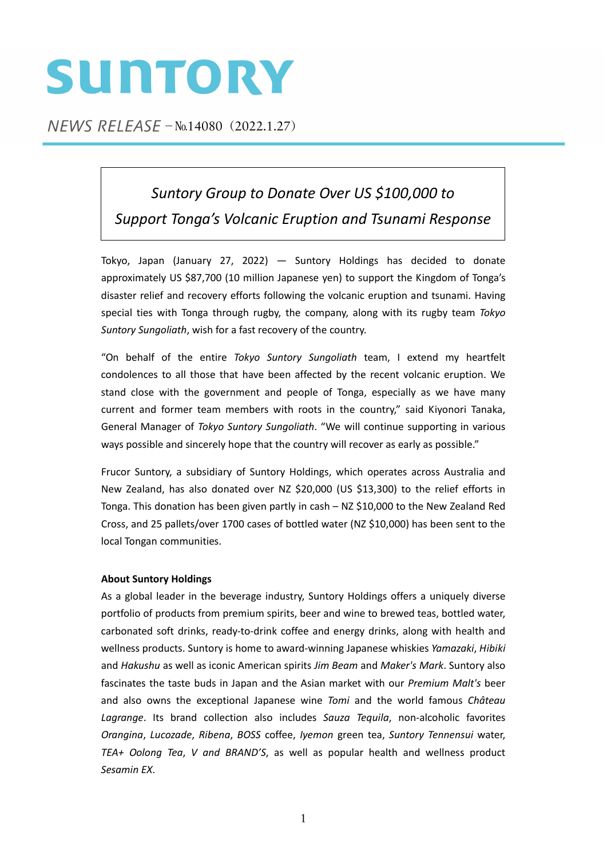## SUNTORY

 $NEWS$  RELEASE  $-N<sub>0.14080</sub>$  (2022.1.27)

*Suntory Group to Donate Over US \$100,000 to Support Tonga's Volcanic Eruption and Tsunami Response*

Tokyo, Japan (January 27, 2022) — Suntory Holdings has decided to donate approximately US \$87,700 (10 million Japanese yen) to support the Kingdom of Tonga's disaster relief and recovery efforts following the volcanic eruption and tsunami. Having special ties with Tonga through rugby, the company, along with its rugby team *Tokyo Suntory Sungoliath*, wish for a fast recovery of the country.

"On behalf of the entire *Tokyo Suntory Sungoliath* team, I extend my heartfelt condolences to all those that have been affected by the recent volcanic eruption. We stand close with the government and people of Tonga, especially as we have many current and former team members with roots in the country," said Kiyonori Tanaka, General Manager of *Tokyo Suntory Sungoliath*. "We will continue supporting in various ways possible and sincerely hope that the country will recover as early as possible."

Frucor Suntory, a subsidiary of Suntory Holdings, which operates across Australia and New Zealand, has also donated over NZ \$20,000 (US \$13,300) to the relief efforts in Tonga. This donation has been given partly in cash – NZ \$10,000 to the New Zealand Red Cross, and 25 pallets/over 1700 cases of bottled water (NZ \$10,000) has been sent to the local Tongan communities.

## **About Suntory Holdings**

As a global leader in the beverage industry, Suntory Holdings offers a uniquely diverse portfolio of products from premium spirits, beer and wine to brewed teas, bottled water, carbonated soft drinks, ready‐to‐drink coffee and energy drinks, along with health and wellness products. Suntory is home to award‐winning Japanese whiskies *Yamazaki*, *Hibiki* and *Hakushu* as well as iconic American spirits *Jim Beam* and *Maker's Mark*. Suntory also fascinates the taste buds in Japan and the Asian market with our *Premium Malt's* beer and also owns the exceptional Japanese wine *Tomi* and the world famous *Château Lagrange*. Its brand collection also includes *Sauza Tequila*, non‐alcoholic favorites *Orangina*, *Lucozade*, *Ribena*, *BOSS* coffee, *Iyemon* green tea, *Suntory Tennensui* water, *TEA+ Oolong Tea*, *V and BRAND'S*, as well as popular health and wellness product *Sesamin EX*.